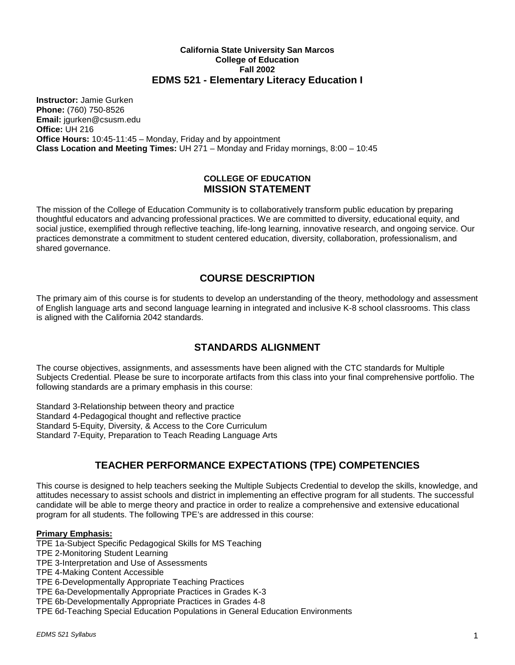## **California State University San Marcos College of Education Fall 2002 EDMS 521 - Elementary Literacy Education I**

**Instructor:** Jamie Gurken **Phone:** (760) 750-8526 **Email:** jgurken@csusm.edu **Office:** UH 216 **Office Hours:** 10:45-11:45 – Monday, Friday and by appointment **Class Location and Meeting Times:** UH 271 – Monday and Friday mornings, 8:00 – 10:45

## **COLLEGE OF EDUCATION MISSION STATEMENT**

The mission of the College of Education Community is to collaboratively transform public education by preparing thoughtful educators and advancing professional practices. We are committed to diversity, educational equity, and social justice, exemplified through reflective teaching, life-long learning, innovative research, and ongoing service. Our practices demonstrate a commitment to student centered education, diversity, collaboration, professionalism, and shared governance.

## **COURSE DESCRIPTION**

The primary aim of this course is for students to develop an understanding of the theory, methodology and assessment of English language arts and second language learning in integrated and inclusive K-8 school classrooms. This class is aligned with the California 2042 standards.

# **STANDARDS ALIGNMENT**

The course objectives, assignments, and assessments have been aligned with the CTC standards for Multiple Subjects Credential. Please be sure to incorporate artifacts from this class into your final comprehensive portfolio. The following standards are a primary emphasis in this course:

Standard 3-Relationship between theory and practice Standard 4-Pedagogical thought and reflective practice Standard 5-Equity, Diversity, & Access to the Core Curriculum Standard 7-Equity, Preparation to Teach Reading Language Arts

# **TEACHER PERFORMANCE EXPECTATIONS (TPE) COMPETENCIES**

This course is designed to help teachers seeking the Multiple Subjects Credential to develop the skills, knowledge, and attitudes necessary to assist schools and district in implementing an effective program for all students. The successful candidate will be able to merge theory and practice in order to realize a comprehensive and extensive educational program for all students. The following TPE's are addressed in this course:

## **Primary Emphasis:**

TPE 1a-Subject Specific Pedagogical Skills for MS Teaching

TPE 2-Monitoring Student Learning

TPE 3-Interpretation and Use of Assessments

TPE 4-Making Content Accessible

TPE 6-Developmentally Appropriate Teaching Practices

TPE 6a-Developmentally Appropriate Practices in Grades K-3

- TPE 6b-Developmentally Appropriate Practices in Grades 4-8
- TPE 6d-Teaching Special Education Populations in General Education Environments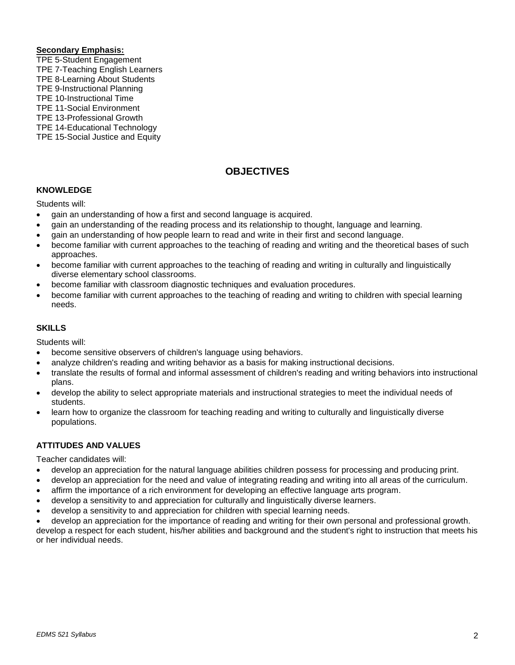#### **Secondary Emphasis:**

- TPE 5-Student Engagement
- TPE 7-Teaching English Learners
- TPE 8-Learning About Students
- TPE 9-Instructional Planning TPE 10-Instructional Time
- TPE 11-Social Environment
- TPE 13-Professional Growth
- 
- TPE 14-Educational Technology
- TPE 15-Social Justice and Equity

# **OBJECTIVES**

## **KNOWLEDGE**

Students will:

- gain an understanding of how a first and second language is acquired.
- gain an understanding of the reading process and its relationship to thought, language and learning.
- gain an understanding of how people learn to read and write in their first and second language.
- become familiar with current approaches to the teaching of reading and writing and the theoretical bases of such approaches.
- become familiar with current approaches to the teaching of reading and writing in culturally and linguistically diverse elementary school classrooms.
- become familiar with classroom diagnostic techniques and evaluation procedures.
- become familiar with current approaches to the teaching of reading and writing to children with special learning needs.

## **SKILLS**

Students will:

- become sensitive observers of children's language using behaviors.
- analyze children's reading and writing behavior as a basis for making instructional decisions.
- translate the results of formal and informal assessment of children's reading and writing behaviors into instructional plans.
- develop the ability to select appropriate materials and instructional strategies to meet the individual needs of students.
- learn how to organize the classroom for teaching reading and writing to culturally and linguistically diverse populations.

## **ATTITUDES AND VALUES**

Teacher candidates will:

- develop an appreciation for the natural language abilities children possess for processing and producing print.
- develop an appreciation for the need and value of integrating reading and writing into all areas of the curriculum.
- affirm the importance of a rich environment for developing an effective language arts program.
- develop a sensitivity to and appreciation for culturally and linguistically diverse learners.
- develop a sensitivity to and appreciation for children with special learning needs.
- develop an appreciation for the importance of reading and writing for their own personal and professional growth.

develop a respect for each student, his/her abilities and background and the student's right to instruction that meets his or her individual needs.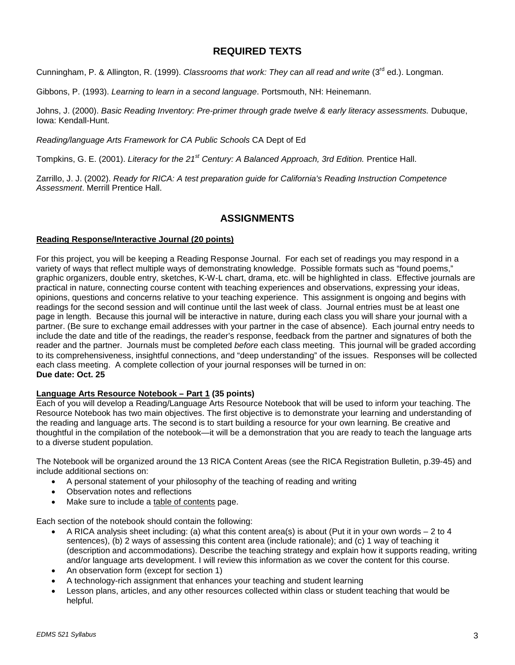## **REQUIRED TEXTS**

Cunningham, P. & Allington, R. (1999). *Classrooms that work: They can all read and write* (3<sup>rd</sup> ed.). Longman.

Gibbons, P. (1993). *Learning to learn in a second language*. Portsmouth, NH: Heinemann.

Johns, J. (2000). *Basic Reading Inventory: Pre-primer through grade twelve & early literacy assessments.* Dubuque, Iowa: Kendall-Hunt.

*Reading/language Arts Framework for CA Public Schools* CA Dept of Ed

Tompkins, G. E. (2001). *Literacy for the 21st Century: A Balanced Approach, 3rd Edition.* Prentice Hall.

Zarrillo, J. J. (2002). *Ready for RICA: A test preparation guide for California's Reading Instruction Competence Assessment*. Merrill Prentice Hall.

## **ASSIGNMENTS**

### **Reading Response/Interactive Journal (20 points)**

For this project, you will be keeping a Reading Response Journal. For each set of readings you may respond in a variety of ways that reflect multiple ways of demonstrating knowledge. Possible formats such as "found poems," graphic organizers, double entry, sketches, K-W-L chart, drama, etc. will be highlighted in class. Effective journals are practical in nature, connecting course content with teaching experiences and observations, expressing your ideas, opinions, questions and concerns relative to your teaching experience. This assignment is ongoing and begins with readings for the second session and will continue until the last week of class. Journal entries must be at least one page in length. Because this journal will be interactive in nature, during each class you will share your journal with a partner. (Be sure to exchange email addresses with your partner in the case of absence). Each journal entry needs to include the date and title of the readings, the reader's response, feedback from the partner and signatures of both the reader and the partner. Journals must be completed *before* each class meeting. This journal will be graded according to its comprehensiveness, insightful connections, and "deep understanding" of the issues. Responses will be collected each class meeting. A complete collection of your journal responses will be turned in on: **Due date: Oct. 25**

## **Language Arts Resource Notebook – Part 1 (35 points)**

Each of you will develop a Reading/Language Arts Resource Notebook that will be used to inform your teaching. The Resource Notebook has two main objectives. The first objective is to demonstrate your learning and understanding of the reading and language arts. The second is to start building a resource for your own learning. Be creative and thoughtful in the compilation of the notebook—it will be a demonstration that you are ready to teach the language arts to a diverse student population.

The Notebook will be organized around the 13 RICA Content Areas (see the RICA Registration Bulletin, p.39-45) and include additional sections on:

- A personal statement of your philosophy of the teaching of reading and writing
- Observation notes and reflections
- Make sure to include a table of contents page.

Each section of the notebook should contain the following:

- A RICA analysis sheet including: (a) what this content area(s) is about (Put it in your own words 2 to 4 sentences), (b) 2 ways of assessing this content area (include rationale); and (c) 1 way of teaching it (description and accommodations). Describe the teaching strategy and explain how it supports reading, writing and/or language arts development. I will review this information as we cover the content for this course.
- An observation form (except for section 1)
- A technology-rich assignment that enhances your teaching and student learning
- Lesson plans, articles, and any other resources collected within class or student teaching that would be helpful.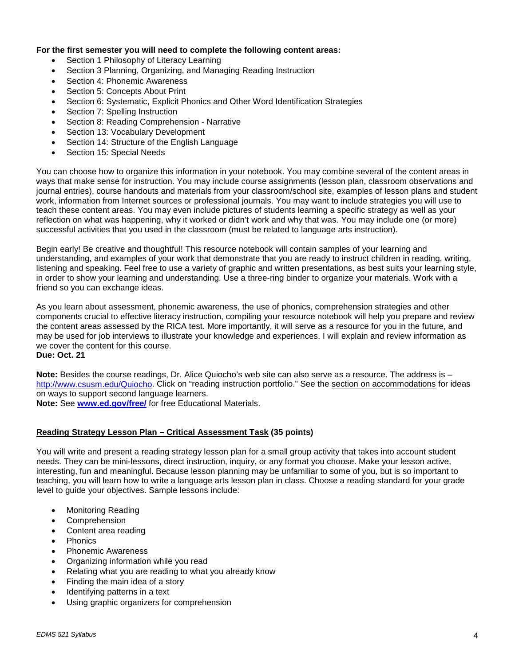#### **For the first semester you will need to complete the following content areas:**

- Section 1 Philosophy of Literacy Learning
- Section 3 Planning, Organizing, and Managing Reading Instruction
- Section 4: Phonemic Awareness
- Section 5: Concepts About Print
- Section 6: Systematic, Explicit Phonics and Other Word Identification Strategies
- Section 7: Spelling Instruction
- Section 8: Reading Comprehension Narrative
- Section 13: Vocabulary Development
- Section 14: Structure of the English Language
- Section 15: Special Needs

You can choose how to organize this information in your notebook. You may combine several of the content areas in ways that make sense for instruction. You may include course assignments (lesson plan, classroom observations and journal entries), course handouts and materials from your classroom/school site, examples of lesson plans and student work, information from Internet sources or professional journals. You may want to include strategies you will use to teach these content areas. You may even include pictures of students learning a specific strategy as well as your reflection on what was happening, why it worked or didn't work and why that was. You may include one (or more) successful activities that you used in the classroom (must be related to language arts instruction).

Begin early! Be creative and thoughtful! This resource notebook will contain samples of your learning and understanding, and examples of your work that demonstrate that you are ready to instruct children in reading, writing, listening and speaking. Feel free to use a variety of graphic and written presentations, as best suits your learning style, in order to show your learning and understanding. Use a three-ring binder to organize your materials. Work with a friend so you can exchange ideas.

As you learn about assessment, phonemic awareness, the use of phonics, comprehension strategies and other components crucial to effective literacy instruction, compiling your resource notebook will help you prepare and review the content areas assessed by the RICA test. More importantly, it will serve as a resource for you in the future, and may be used for job interviews to illustrate your knowledge and experiences. I will explain and review information as we cover the content for this course.

**Due: Oct. 21**

**Note:** Besides the course readings, Dr. Alice Quiocho's web site can also serve as a resource. The address is – [http://www.csusm.edu/Quiocho.](http://www.csusm.edu/Quiocho) Click on "reading instruction portfolio." See the section on accommodations for ideas on ways to support second language learners.

**Note:** See **[www.ed.gov/free/](http://www.ed.gov/free/)** for free Educational Materials.

#### **Reading Strategy Lesson Plan – Critical Assessment Task (35 points)**

You will write and present a reading strategy lesson plan for a small group activity that takes into account student needs. They can be mini-lessons, direct instruction, inquiry, or any format you choose. Make your lesson active, interesting, fun and meaningful. Because lesson planning may be unfamiliar to some of you, but is so important to teaching, you will learn how to write a language arts lesson plan in class. Choose a reading standard for your grade level to guide your objectives. Sample lessons include:

- Monitoring Reading
- Comprehension
- Content area reading
- Phonics
- Phonemic Awareness
- Organizing information while you read
- Relating what you are reading to what you already know
- Finding the main idea of a story
- Identifying patterns in a text
- Using graphic organizers for comprehension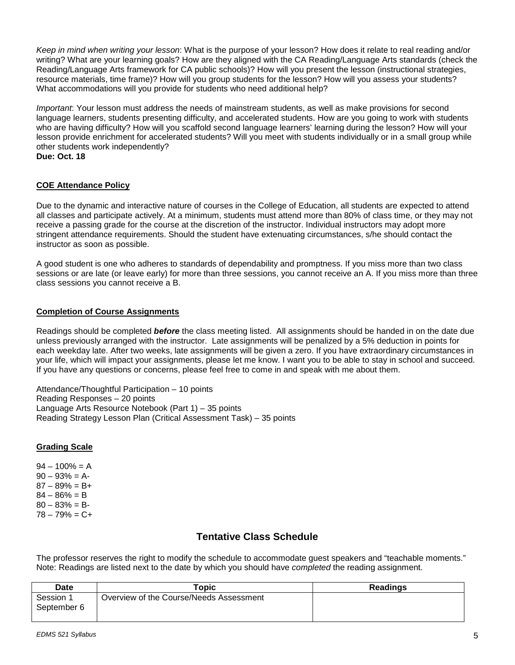*Keep in mind when writing your lesson*: What is the purpose of your lesson? How does it relate to real reading and/or writing? What are your learning goals? How are they aligned with the CA Reading/Language Arts standards (check the Reading/Language Arts framework for CA public schools)? How will you present the lesson (instructional strategies, resource materials, time frame)? How will you group students for the lesson? How will you assess your students? What accommodations will you provide for students who need additional help?

*Important*: Your lesson must address the needs of mainstream students, as well as make provisions for second language learners, students presenting difficulty, and accelerated students. How are you going to work with students who are having difficulty? How will you scaffold second language learners' learning during the lesson? How will your lesson provide enrichment for accelerated students? Will you meet with students individually or in a small group while other students work independently? **Due: Oct. 18** 

# **COE Attendance Policy**

Due to the dynamic and interactive nature of courses in the College of Education, all students are expected to attend all classes and participate actively. At a minimum, students must attend more than 80% of class time, or they may not receive a passing grade for the course at the discretion of the instructor. Individual instructors may adopt more stringent attendance requirements. Should the student have extenuating circumstances, s/he should contact the instructor as soon as possible.

A good student is one who adheres to standards of dependability and promptness. If you miss more than two class sessions or are late (or leave early) for more than three sessions, you cannot receive an A. If you miss more than three class sessions you cannot receive a B.

### **Completion of Course Assignments**

Readings should be completed *before* the class meeting listed. All assignments should be handed in on the date due unless previously arranged with the instructor. Late assignments will be penalized by a 5% deduction in points for each weekday late. After two weeks, late assignments will be given a zero. If you have extraordinary circumstances in your life, which will impact your assignments, please let me know. I want you to be able to stay in school and succeed. If you have any questions or concerns, please feel free to come in and speak with me about them.

Attendance/Thoughtful Participation – 10 points Reading Responses – 20 points Language Arts Resource Notebook (Part 1) – 35 points Reading Strategy Lesson Plan (Critical Assessment Task) – 35 points

#### **Grading Scale**

 $94 - 100\% = A$  $90 - 93\% = A$  $87 - 89\% = B +$  $84 - 86\% = B$  $80 - 83\% = B$  $78 - 79% = C +$ 

## **Tentative Class Schedule**

The professor reserves the right to modify the schedule to accommodate guest speakers and "teachable moments." Note: Readings are listed next to the date by which you should have *completed* the reading assignment.

| <b>Date</b> | Topic                                   | <b>Readings</b> |
|-------------|-----------------------------------------|-----------------|
| Session 1   | Overview of the Course/Needs Assessment |                 |
| September 6 |                                         |                 |
|             |                                         |                 |